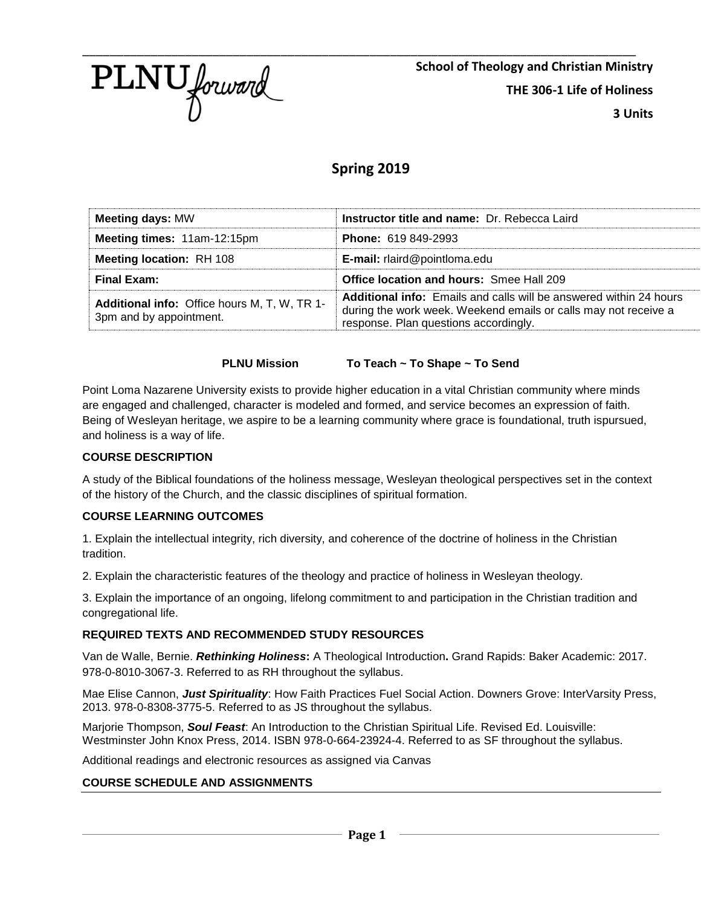

**School of Theology and Christian Ministry THE 306-1 Life of Holiness 3 Units**

# **Spring 2019**

| <b>Meeting days: MW</b>                                                 | <b>Instructor title and name: Dr. Rebecca Laird</b>                                                                                                                                   |
|-------------------------------------------------------------------------|---------------------------------------------------------------------------------------------------------------------------------------------------------------------------------------|
| Meeting times: 11am-12:15pm                                             | <b>Phone: 619 849-2993</b>                                                                                                                                                            |
| <b>Meeting location: RH 108</b>                                         | <b>E-mail:</b> rlaird@pointloma.edu                                                                                                                                                   |
| Final Exam:                                                             | <b>Office location and hours: Smee Hall 209</b>                                                                                                                                       |
| Additional info: Office hours M, T, W, TR 1-<br>3pm and by appointment. | <b>Additional info:</b> Emails and calls will be answered within 24 hours<br>during the work week. Weekend emails or calls may not receive a<br>response. Plan questions accordingly. |

#### **PLNU Mission To Teach ~ To Shape ~ To Send**

Point Loma Nazarene University exists to provide higher education in a vital Christian community where minds are engaged and challenged, character is modeled and formed, and service becomes an expression of faith. Being of Wesleyan heritage, we aspire to be a learning community where grace is foundational, truth ispursued, and holiness is a way of life.

#### **COURSE DESCRIPTION**

A study of the Biblical foundations of the holiness message, Wesleyan theological perspectives set in the context of the history of the Church, and the classic disciplines of spiritual formation.

#### **COURSE LEARNING OUTCOMES**

1. Explain the intellectual integrity, rich diversity, and coherence of the doctrine of holiness in the Christian tradition.

2. Explain the characteristic features of the theology and practice of holiness in Wesleyan theology.

3. Explain the importance of an ongoing, lifelong commitment to and participation in the Christian tradition and congregational life.

#### **REQUIRED TEXTS AND RECOMMENDED STUDY RESOURCES**

Van de Walle, Bernie. *Rethinking Holiness***:** A Theological Introduction**.** Grand Rapids: Baker Academic: 2017. 978-0-8010-3067-3. Referred to as RH throughout the syllabus.

Mae Elise Cannon, *Just Spirituality*: How Faith Practices Fuel Social Action. Downers Grove: InterVarsity Press, 2013. 978-0-8308-3775-5. Referred to as JS throughout the syllabus.

Marjorie Thompson, *Soul Feast*: An Introduction to the Christian Spiritual Life. Revised Ed. Louisville: Westminster John Knox Press, 2014. ISBN 978-0-664-23924-4. Referred to as SF throughout the syllabus.

Additional readings and electronic resources as assigned via Canvas

#### **COURSE SCHEDULE AND ASSIGNMENTS**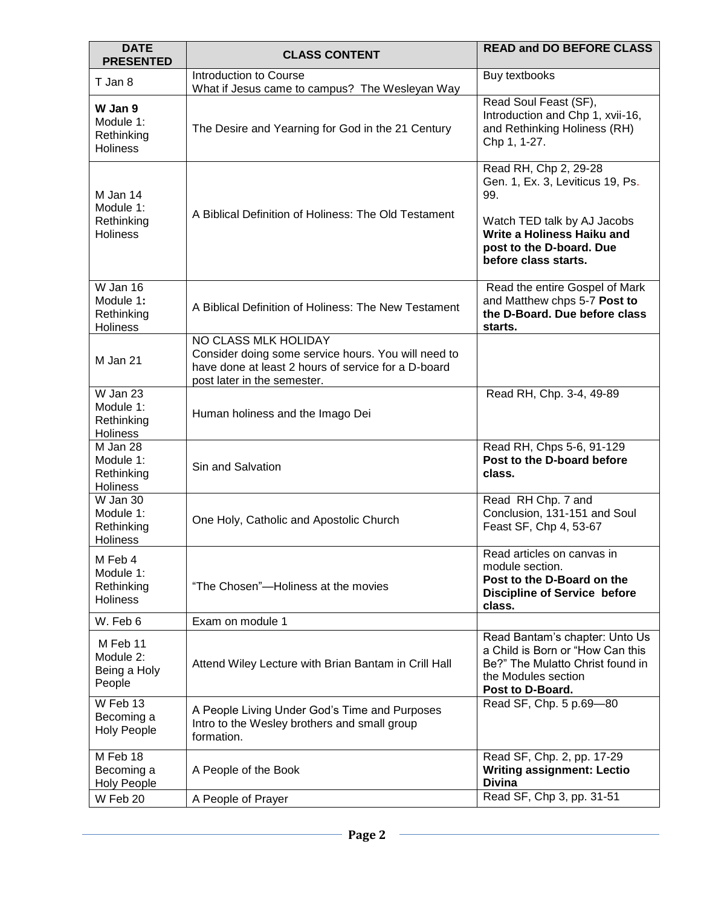| <b>DATE</b><br><b>PRESENTED</b>                        | <b>CLASS CONTENT</b>                                                                                                                                              | <b>READ and DO BEFORE CLASS</b>                                                                                                                                                   |
|--------------------------------------------------------|-------------------------------------------------------------------------------------------------------------------------------------------------------------------|-----------------------------------------------------------------------------------------------------------------------------------------------------------------------------------|
| T Jan 8                                                | Introduction to Course<br>What if Jesus came to campus? The Wesleyan Way                                                                                          | Buy textbooks                                                                                                                                                                     |
| W Jan 9<br>Module 1:<br>Rethinking<br><b>Holiness</b>  | The Desire and Yearning for God in the 21 Century                                                                                                                 | Read Soul Feast (SF),<br>Introduction and Chp 1, xvii-16,<br>and Rethinking Holiness (RH)<br>Chp 1, 1-27.                                                                         |
| M Jan 14<br>Module 1:<br>Rethinking<br><b>Holiness</b> | A Biblical Definition of Holiness: The Old Testament                                                                                                              | Read RH, Chp 2, 29-28<br>Gen. 1, Ex. 3, Leviticus 19, Ps.<br>99.<br>Watch TED talk by AJ Jacobs<br>Write a Holiness Haiku and<br>post to the D-board. Due<br>before class starts. |
| W Jan 16<br>Module 1:<br>Rethinking<br><b>Holiness</b> | A Biblical Definition of Holiness: The New Testament                                                                                                              | Read the entire Gospel of Mark<br>and Matthew chps 5-7 Post to<br>the D-Board. Due before class<br>starts.                                                                        |
| M Jan 21                                               | NO CLASS MLK HOLIDAY<br>Consider doing some service hours. You will need to<br>have done at least 2 hours of service for a D-board<br>post later in the semester. |                                                                                                                                                                                   |
| W Jan 23<br>Module 1:<br>Rethinking<br>Holiness        | Human holiness and the Imago Dei                                                                                                                                  | Read RH, Chp. 3-4, 49-89                                                                                                                                                          |
| M Jan 28<br>Module 1:<br>Rethinking<br>Holiness        | Sin and Salvation                                                                                                                                                 | Read RH, Chps 5-6, 91-129<br>Post to the D-board before<br>class.                                                                                                                 |
| W Jan 30<br>Module 1:<br>Rethinking<br>Holiness        | One Holy, Catholic and Apostolic Church                                                                                                                           | Read RH Chp. 7 and<br>Conclusion, 131-151 and Soul<br>Feast SF, Chp 4, 53-67                                                                                                      |
| M Feb 4<br>Module 1:<br>Rethinking<br><b>Holiness</b>  | "The Chosen"-Holiness at the movies                                                                                                                               | Read articles on canvas in<br>module section.<br>Post to the D-Board on the<br><b>Discipline of Service before</b><br>class.                                                      |
| W. Feb 6                                               | Exam on module 1                                                                                                                                                  |                                                                                                                                                                                   |
| M Feb 11<br>Module 2:<br>Being a Holy<br>People        | Attend Wiley Lecture with Brian Bantam in Crill Hall                                                                                                              | Read Bantam's chapter: Unto Us<br>a Child is Born or "How Can this<br>Be?" The Mulatto Christ found in<br>the Modules section<br>Post to D-Board.                                 |
| W Feb 13<br>Becoming a<br><b>Holy People</b>           | A People Living Under God's Time and Purposes<br>Intro to the Wesley brothers and small group<br>formation.                                                       | Read SF, Chp. 5 p.69-80                                                                                                                                                           |
| M Feb 18<br>Becoming a<br><b>Holy People</b>           | A People of the Book                                                                                                                                              | Read SF, Chp. 2, pp. 17-29<br><b>Writing assignment: Lectio</b><br><b>Divina</b>                                                                                                  |
| W Feb 20                                               | A People of Prayer                                                                                                                                                | Read SF, Chp 3, pp. 31-51                                                                                                                                                         |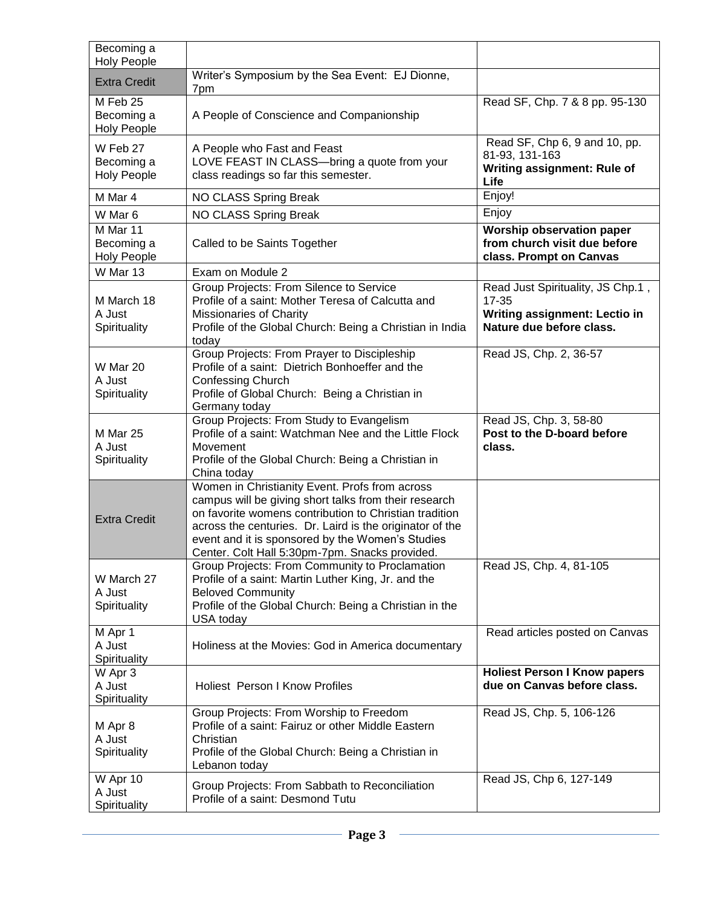| Becoming a<br><b>Holy People</b>             |                                                                                                                                                                                                                                                                                                                                     |                                                                                                             |
|----------------------------------------------|-------------------------------------------------------------------------------------------------------------------------------------------------------------------------------------------------------------------------------------------------------------------------------------------------------------------------------------|-------------------------------------------------------------------------------------------------------------|
| <b>Extra Credit</b>                          | Writer's Symposium by the Sea Event: EJ Dionne,<br>7pm                                                                                                                                                                                                                                                                              |                                                                                                             |
| M Feb 25<br>Becoming a<br><b>Holy People</b> | A People of Conscience and Companionship                                                                                                                                                                                                                                                                                            | Read SF, Chp. 7 & 8 pp. 95-130                                                                              |
| W Feb 27<br>Becoming a<br><b>Holy People</b> | A People who Fast and Feast<br>LOVE FEAST IN CLASS-bring a quote from your<br>class readings so far this semester.                                                                                                                                                                                                                  | Read SF, Chp 6, 9 and 10, pp.<br>81-93, 131-163<br>Writing assignment: Rule of<br>Life                      |
| M Mar 4                                      | NO CLASS Spring Break                                                                                                                                                                                                                                                                                                               | Enjoy!                                                                                                      |
| W Mar 6                                      | NO CLASS Spring Break                                                                                                                                                                                                                                                                                                               | Enjoy                                                                                                       |
| M Mar 11<br>Becoming a<br><b>Holy People</b> | Called to be Saints Together                                                                                                                                                                                                                                                                                                        | Worship observation paper<br>from church visit due before<br>class. Prompt on Canvas                        |
| W Mar 13                                     | Exam on Module 2                                                                                                                                                                                                                                                                                                                    |                                                                                                             |
| M March 18<br>A Just<br>Spirituality         | Group Projects: From Silence to Service<br>Profile of a saint: Mother Teresa of Calcutta and<br>Missionaries of Charity<br>Profile of the Global Church: Being a Christian in India<br>today                                                                                                                                        | Read Just Spirituality, JS Chp.1,<br>$17 - 35$<br>Writing assignment: Lectio in<br>Nature due before class. |
| W Mar 20<br>A Just<br>Spirituality           | Group Projects: From Prayer to Discipleship<br>Profile of a saint: Dietrich Bonhoeffer and the<br><b>Confessing Church</b><br>Profile of Global Church: Being a Christian in<br>Germany today                                                                                                                                       | Read JS, Chp. 2, 36-57                                                                                      |
| M Mar 25<br>A Just<br>Spirituality           | Group Projects: From Study to Evangelism<br>Profile of a saint: Watchman Nee and the Little Flock<br>Movement<br>Profile of the Global Church: Being a Christian in<br>China today                                                                                                                                                  | Read JS, Chp. 3, 58-80<br>Post to the D-board before<br>class.                                              |
| <b>Extra Credit</b>                          | Women in Christianity Event. Profs from across<br>campus will be giving short talks from their research<br>on favorite womens contribution to Christian tradition<br>across the centuries. Dr. Laird is the originator of the<br>event and it is sponsored by the Women's Studies<br>Center. Colt Hall 5:30pm-7pm. Snacks provided. |                                                                                                             |
| W March 27<br>A Just<br>Spirituality         | Group Projects: From Community to Proclamation<br>Profile of a saint: Martin Luther King, Jr. and the<br><b>Beloved Community</b><br>Profile of the Global Church: Being a Christian in the<br>USA today                                                                                                                            | Read JS, Chp. 4, 81-105                                                                                     |
| M Apr 1<br>A Just<br>Spirituality            | Holiness at the Movies: God in America documentary                                                                                                                                                                                                                                                                                  | Read articles posted on Canvas                                                                              |
| W Apr 3<br>A Just<br>Spirituality            | <b>Holiest Person I Know Profiles</b>                                                                                                                                                                                                                                                                                               | <b>Holiest Person I Know papers</b><br>due on Canvas before class.                                          |
| M Apr 8<br>A Just<br>Spirituality            | Group Projects: From Worship to Freedom<br>Profile of a saint: Fairuz or other Middle Eastern<br>Christian<br>Profile of the Global Church: Being a Christian in<br>Lebanon today                                                                                                                                                   | Read JS, Chp. 5, 106-126                                                                                    |
| W Apr 10<br>A Just<br>Spirituality           | Group Projects: From Sabbath to Reconciliation<br>Profile of a saint: Desmond Tutu                                                                                                                                                                                                                                                  | Read JS, Chp 6, 127-149                                                                                     |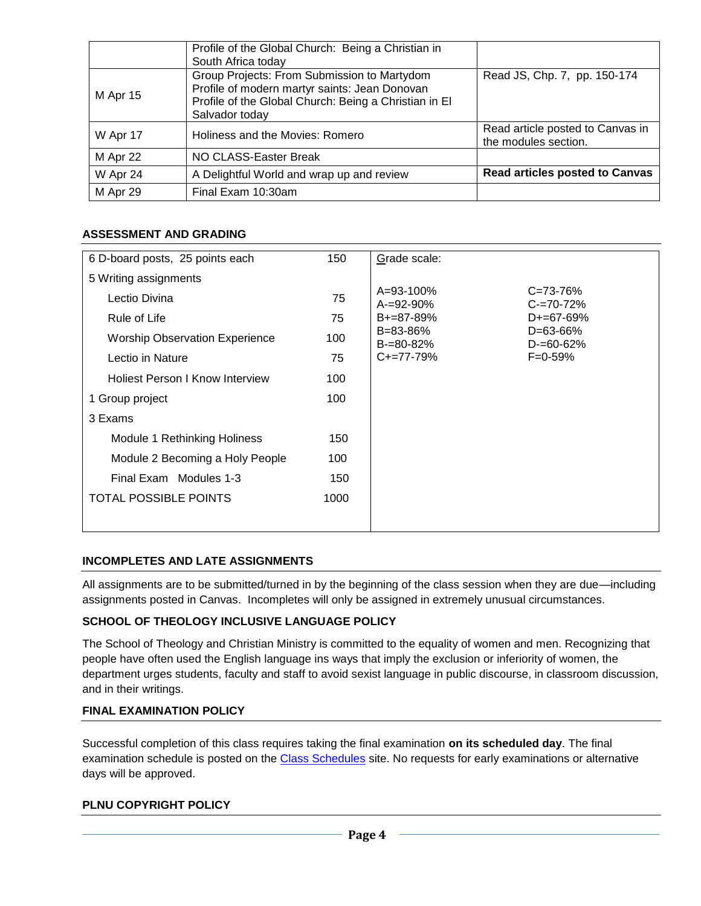|          | Profile of the Global Church: Being a Christian in<br>South Africa today                                                                                                |                                                          |
|----------|-------------------------------------------------------------------------------------------------------------------------------------------------------------------------|----------------------------------------------------------|
| M Apr 15 | Group Projects: From Submission to Martydom<br>Profile of modern martyr saints: Jean Donovan<br>Profile of the Global Church: Being a Christian in El<br>Salvador today | Read JS, Chp. 7, pp. 150-174                             |
| W Apr 17 | Holiness and the Movies: Romero                                                                                                                                         | Read article posted to Canvas in<br>the modules section. |
| M Apr 22 | NO CLASS-Easter Break                                                                                                                                                   |                                                          |
| W Apr 24 | A Delightful World and wrap up and review                                                                                                                               | <b>Read articles posted to Canvas</b>                    |
| M Apr 29 | Final Exam 10:30am                                                                                                                                                      |                                                          |

### **ASSESSMENT AND GRADING**

| 6 D-board posts, 25 points each       | 150  | Grade scale:                                                         |
|---------------------------------------|------|----------------------------------------------------------------------|
| 5 Writing assignments                 |      |                                                                      |
| Lectio Divina                         | 75   | A=93-100%<br>$C = 73 - 76%$<br>$C = 70 - 72%$<br>$A = 92 - 90\%$     |
| Rule of Life                          | 75   | $D+=67-69%$<br>$B+=87-89%$                                           |
| <b>Worship Observation Experience</b> | 100  | $B = 83 - 86%$<br>$D = 63 - 66%$<br>$D = 60 - 62%$<br>$B = 80 - 82%$ |
| Lectio in Nature                      | 75   | $C+=77-79%$<br>$F = 0.59%$                                           |
| Holiest Person I Know Interview       | 100  |                                                                      |
| 1 Group project                       | 100  |                                                                      |
| 3 Exams                               |      |                                                                      |
| Module 1 Rethinking Holiness          | 150  |                                                                      |
| Module 2 Becoming a Holy People       | 100  |                                                                      |
| Final Exam Modules 1-3                | 150  |                                                                      |
| <b>TOTAL POSSIBLE POINTS</b>          | 1000 |                                                                      |
|                                       |      |                                                                      |

#### **INCOMPLETES AND LATE ASSIGNMENTS**

All assignments are to be submitted/turned in by the beginning of the class session when they are due—including assignments posted in Canvas. Incompletes will only be assigned in extremely unusual circumstances.

#### **SCHOOL OF THEOLOGY INCLUSIVE LANGUAGE POLICY**

The School of Theology and Christian Ministry is committed to the equality of women and men. Recognizing that people have often used the English language ins ways that imply the exclusion or inferiority of women, the department urges students, faculty and staff to avoid sexist language in public discourse, in classroom discussion, and in their writings.

#### **FINAL EXAMINATION POLICY**

Successful completion of this class requires taking the final examination **on its scheduled day**. The final examination schedule is posted on the [Class Schedules](http://www.pointloma.edu/experience/academics/class-schedules) site. No requests for early examinations or alternative days will be approved.

#### **PLNU COPYRIGHT POLICY**